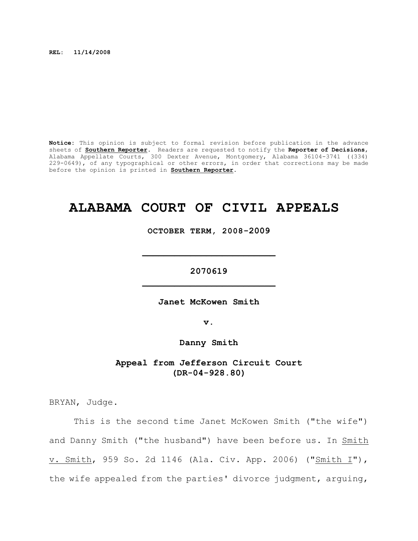**REL: 11/14/2008**

**Notice:** This opinion is subject to formal revision before publication in the advance sheets of **Southern Reporter**. Readers are requested to notify the **Reporter of Decisions**, Alabama Appellate Courts, 300 Dexter Avenue, Montgomery, Alabama 36104-3741 ((334) 229-0649), of any typographical or other errors, in order that corrections may be made before the opinion is printed in **Southern Reporter**.

# **ALABAMA COURT OF CIVIL APPEALS**

**OCTOBER TERM, 2008-2009**

**\_\_\_\_\_\_\_\_\_\_\_\_\_\_\_\_\_\_\_\_\_\_\_\_\_**

**2070619 \_\_\_\_\_\_\_\_\_\_\_\_\_\_\_\_\_\_\_\_\_\_\_\_\_**

**Janet McKowen Smith**

**v.**

**Danny Smith**

**Appeal from Jefferson Circuit Court (DR-04-928.80)**

BRYAN, Judge.

This is the second time Janet McKowen Smith ("the wife") and Danny Smith ("the husband") have been before us. In Smith v. Smith, 959 So. 2d 1146 (Ala. Civ. App. 2006) ("Smith I"), the wife appealed from the parties' divorce judgment, arguing,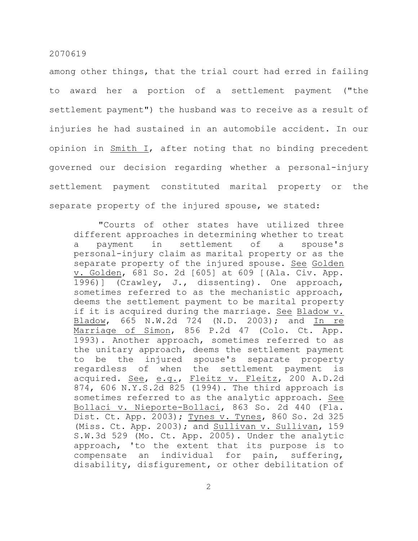among other things, that the trial court had erred in failing to award her a portion of a settlement payment ("the settlement payment") the husband was to receive as a result of injuries he had sustained in an automobile accident. In our opinion in Smith I, after noting that no binding precedent governed our decision regarding whether a personal-injury settlement payment constituted marital property or the separate property of the injured spouse, we stated:

"Courts of other states have utilized three different approaches in determining whether to treat a payment in settlement of a spouse's personal-injury claim as marital property or as the separate property of the injured spouse. See Golden v. Golden, 681 So. 2d [605] at 609 [(Ala. Civ. App. 1996)] (Crawley, J., dissenting). One approach, sometimes referred to as the mechanistic approach, deems the settlement payment to be marital property if it is acquired during the marriage. See Bladow v. Bladow, 665 N.W.2d 724 (N.D. 2003); and In re Marriage of Simon, 856 P.2d 47 (Colo. Ct. App. 1993). Another approach, sometimes referred to as the unitary approach, deems the settlement payment to be the injured spouse's separate property regardless of when the settlement payment is acquired. See, e.g., Fleitz v. Fleitz, 200 A.D.2d 874, 606 N.Y.S.2d 825 (1994). The third approach is sometimes referred to as the analytic approach. See Bollaci v. Nieporte-Bollaci, 863 So. 2d 440 (Fla. Dist. Ct. App. 2003); Tynes v. Tynes, 860 So. 2d 325 (Miss. Ct. App. 2003); and Sullivan v. Sullivan, 159 S.W.3d 529 (Mo. Ct. App. 2005). Under the analytic approach, 'to the extent that its purpose is to compensate an individual for pain, suffering, disability, disfigurement, or other debilitation of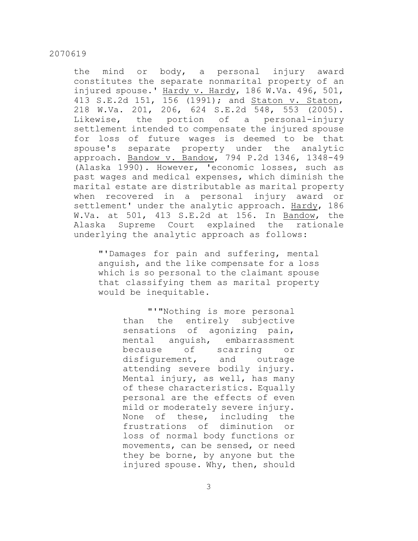the mind or body, a personal injury award constitutes the separate nonmarital property of an injured spouse.' Hardy v. Hardy, 186 W.Va. 496, 501, 413 S.E.2d 151, 156 (1991); and Staton v. Staton, 218 W.Va. 201, 206, 624 S.E.2d 548, 553 (2005). Likewise, the portion of a personal-injury settlement intended to compensate the injured spouse for loss of future wages is deemed to be that spouse's separate property under the analytic approach. Bandow v. Bandow, 794 P.2d 1346, 1348-49 (Alaska 1990). However, 'economic losses, such as past wages and medical expenses, which diminish the marital estate are distributable as marital property when recovered in a personal injury award or settlement' under the analytic approach. Hardy, 186 W.Va. at 501, 413 S.E.2d at 156. In Bandow, the Alaska Supreme Court explained the rationale underlying the analytic approach as follows:

"'Damages for pain and suffering, mental anguish, and the like compensate for a loss which is so personal to the claimant spouse that classifying them as marital property would be inequitable.

> "'"Nothing is more personal than the entirely subjective sensations of agonizing pain, mental anguish, embarrassment because of scarring or disfigurement, and outrage attending severe bodily injury. Mental injury, as well, has many of these characteristics. Equally personal are the effects of even mild or moderately severe injury. None of these, including the frustrations of diminution or loss of normal body functions or movements, can be sensed, or need they be borne, by anyone but the injured spouse. Why, then, should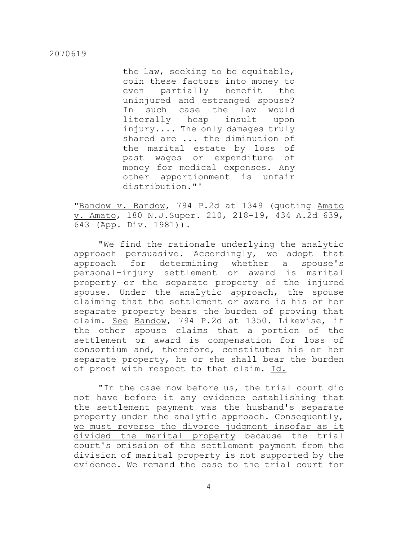the law, seeking to be equitable, coin these factors into money to even partially benefit the uninjured and estranged spouse? In such case the law would literally heap insult upon injury.... The only damages truly shared are ... the diminution of the marital estate by loss of past wages or expenditure of money for medical expenses. Any other apportionment is unfair distribution."'

"Bandow v. Bandow, 794 P.2d at 1349 (quoting Amato v. Amato, 180 N.J.Super. 210, 218-19, 434 A.2d 639, 643 (App. Div. 1981)).

"We find the rationale underlying the analytic approach persuasive. Accordingly, we adopt that approach for determining whether a spouse's personal-injury settlement or award is marital property or the separate property of the injured spouse. Under the analytic approach, the spouse claiming that the settlement or award is his or her separate property bears the burden of proving that claim. See Bandow, 794 P.2d at 1350. Likewise, if the other spouse claims that a portion of the settlement or award is compensation for loss of consortium and, therefore, constitutes his or her separate property, he or she shall bear the burden of proof with respect to that claim. Id.

"In the case now before us, the trial court did not have before it any evidence establishing that the settlement payment was the husband's separate property under the analytic approach. Consequently, we must reverse the divorce judgment insofar as it divided the marital property because the trial court's omission of the settlement payment from the division of marital property is not supported by the evidence. We remand the case to the trial court for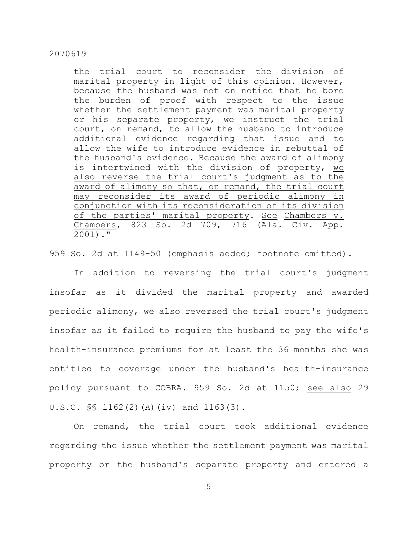the trial court to reconsider the division of marital property in light of this opinion. However, because the husband was not on notice that he bore the burden of proof with respect to the issue whether the settlement payment was marital property or his separate property, we instruct the trial court, on remand, to allow the husband to introduce additional evidence regarding that issue and to allow the wife to introduce evidence in rebuttal of the husband's evidence. Because the award of alimony is intertwined with the division of property, we also reverse the trial court's judgment as to the award of alimony so that, on remand, the trial court may reconsider its award of periodic alimony in conjunction with its reconsideration of its division of the parties' marital property. See Chambers v. Chambers, 823 So. 2d 709, 716 (Ala. Civ. App. 2001)."

959 So. 2d at 1149-50 (emphasis added; footnote omitted).

In addition to reversing the trial court's judgment insofar as it divided the marital property and awarded periodic alimony, we also reversed the trial court's judgment insofar as it failed to require the husband to pay the wife's health-insurance premiums for at least the 36 months she was entitled to coverage under the husband's health-insurance policy pursuant to COBRA. 959 So. 2d at 1150; see also 29 U.S.C. §§ 1162(2)(A)(iv) and 1163(3).

On remand, the trial court took additional evidence regarding the issue whether the settlement payment was marital property or the husband's separate property and entered a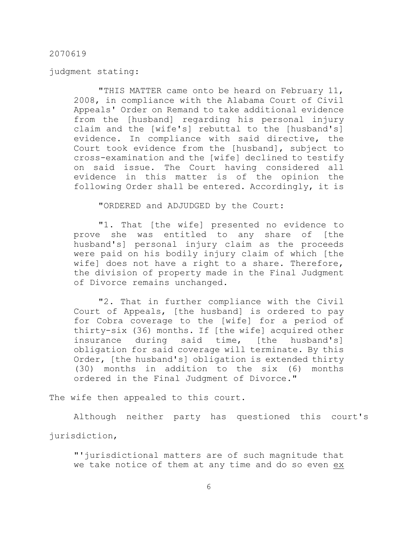judgment stating:

"THIS MATTER came onto be heard on February 11, 2008, in compliance with the Alabama Court of Civil Appeals' Order on Remand to take additional evidence from the [husband] regarding his personal injury claim and the [wife's] rebuttal to the [husband's] evidence. In compliance with said directive, the Court took evidence from the [husband], subject to cross-examination and the [wife] declined to testify on said issue. The Court having considered all evidence in this matter is of the opinion the following Order shall be entered. Accordingly, it is

"ORDERED and ADJUDGED by the Court:

"1. That [the wife] presented no evidence to prove she was entitled to any share of [the husband's] personal injury claim as the proceeds were paid on his bodily injury claim of which [the wife] does not have a right to a share. Therefore, the division of property made in the Final Judgment of Divorce remains unchanged.

"2. That in further compliance with the Civil Court of Appeals, [the husband] is ordered to pay for Cobra coverage to the [wife] for a period of thirty-six (36) months. If [the wife] acquired other insurance during said time, [the husband's] obligation for said coverage will terminate. By this Order, [the husband's] obligation is extended thirty (30) months in addition to the six (6) months ordered in the Final Judgment of Divorce."

The wife then appealed to this court.

Although neither party has questioned this court's

jurisdiction,

"'jurisdictional matters are of such magnitude that we take notice of them at any time and do so even ex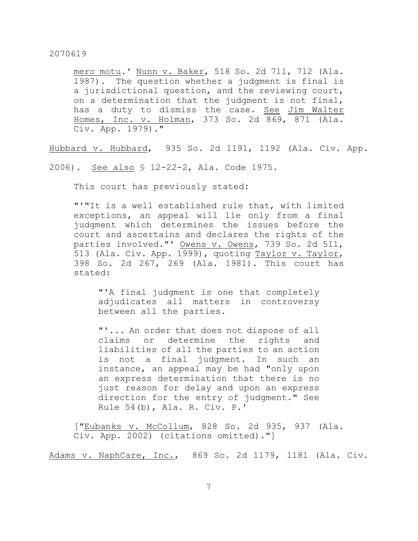mero motu.' Nunn v. Baker, 518 So. 2d 711, 712 (Ala. 1987). The question whether a judgment is final is a jurisdictional question, and the reviewing court, on a determination that the judgment is not final, has a duty to dismiss the case. See Jim Walter Homes, Inc. v. Holman, 373 So. 2d 869, 871 (Ala. Civ. App. 1979)."

Hubbard v. Hubbard, 935 So. 2d 1191, 1192 (Ala. Civ. App.

2006). See also § 12-22-2, Ala. Code 1975.

This court has previously stated:

"'"It is a well established rule that, with limited exceptions, an appeal will lie only from a final judgment which determines the issues before the court and ascertains and declares the rights of the parties involved."' Owens v. Owens, 739 So. 2d 511, 513 (Ala. Civ. App. 1999), quoting Taylor v. Taylor, 398 So. 2d 267, 269 (Ala. 1981). This court has stated:

"'A final judgment is one that completely adjudicates all matters in controversy between all the parties.

"'... An order that does not dispose of all claims or determine the rights and liabilities of all the parties to an action is not a final judgment. In such an instance, an appeal may be had "only upon an express determination that there is no just reason for delay and upon an express direction for the entry of judgment." See Rule 54(b), Ala. R. Civ. P.'

["Eubanks v. McCollum, 828 So. 2d 935, 937 (Ala. Civ. App. 2002) (citations omitted)."]

Adams v. NaphCare, Inc., 869 So. 2d 1179, 1181 (Ala. Civ.